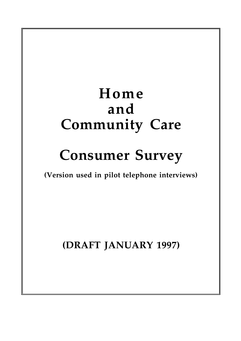## **Home and Community Care**

# **Consumer Survey**

**(Version used in pilot telephone interviews)**

**(DRAFT JANUARY 1997)**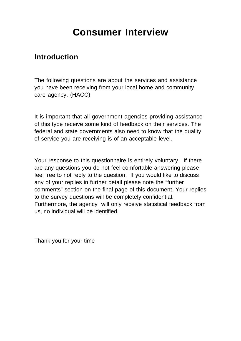## **Consumer Interview**

### **Introduction**

The following questions are about the services and assistance you have been receiving from your local home and community care agency. (HACC)

It is important that all government agencies providing assistance of this type receive some kind of feedback on their services. The federal and state governments also need to know that the quality of service you are receiving is of an acceptable level.

Your response to this questionnaire is entirely voluntary. If there are any questions you do not feel comfortable answering please feel free to not reply to the question. If you would like to discuss any of your replies in further detail please note the "further comments" section on the final page of this document. Your replies to the survey questions will be completely confidential. Furthermore, the agency will only receive statistical feedback from us, no individual will be identified.

Thank you for your time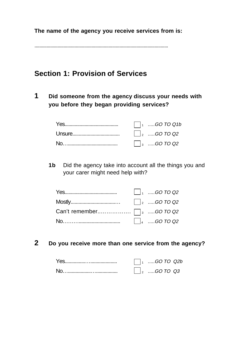**The name of the agency you receive services from is:**

..............................................................................................................

### **Section 1: Provision of Services**

**1 Did someone from the agency discuss your needs with you before they began providing services?**

| $\vert$ $\vert_1$ GO TO Q1b                                                                      |
|--------------------------------------------------------------------------------------------------|
| $\vert$ $\vert_2$ GO TO Q2                                                                       |
| $\begin{array}{ c c }\n\hline\n\end{array}$ $\begin{array}{ c c }\n\hline\n\end{array}$ GO TO Q2 |

**1b** Did the agency take into account all the things you and your carer might need help with?

|  | $\Box$ <sub>1</sub> GO TO Q2                                   |
|--|----------------------------------------------------------------|
|  |                                                                |
|  |                                                                |
|  | $\begin{vmatrix} 4 & \dots & 60 & \text{TO } Q2 \end{vmatrix}$ |

**2 Do you receive more than one service from the agency?**

| $\vert$ GO TO Q2b             |
|-------------------------------|
| $\vert$ <sub>2</sub> GO TO Q3 |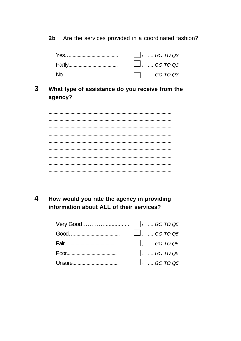Are the services provided in a coordinated fashion?  $2<sub>b</sub>$ 

| $\Box$ <sub>2</sub> GO TO Q3 |
|------------------------------|
| $\Box$ <sub>3</sub> GO TO Q3 |

#### $\overline{3}$ What type of assistance do you receive from the agency?

4 How would you rate the agency in providing information about ALL of their services?

|  | $\Box$ <sub>2</sub> GO TO Q5 |
|--|------------------------------|
|  | $\vert$ $\vert_3$ GO TO Q5   |
|  | $\Box$ 4 GO TO Q5            |
|  | $\Box$ <sub>5</sub> GO TO Q5 |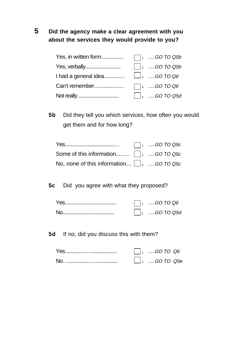### **5 Did the agency make a clear agreement with you about the services they would provide to you?**

| Yes, in written form                              | $\Box$ 1 GO TO Q5b            |
|---------------------------------------------------|-------------------------------|
|                                                   | $\Box$ <sub>2</sub> GO TO Q5b |
| I had a general idea $\Box$ <sub>3</sub> GO TO Q6 |                               |
| Can't remember                                    | $\Box$ 4 GO TO Q6             |
|                                                   | $\Box$ <sub>5</sub> GO TO Q5d |

**5b** Did they tell you which services, how often you would get them and for how long?

|                                                            | $\Box$ <sub>1</sub> GO TO Q5c |
|------------------------------------------------------------|-------------------------------|
| Some of this information $\vert \ \vert_2$ GO TO Q5c       |                               |
| No, none of this information $\Box$ <sub>3</sub> GO TO Q5c |                               |

**5c** Did you agree with what they proposed?

| $\Box$ GO TO Q6     |
|---------------------|
| $\vert_2$ GO TO Q5d |

**5d** If no, did you discuss this with them?

| $1, \dots$ GO TO Q6 |
|---------------------|
| $\Box$ , GO TO Q5e  |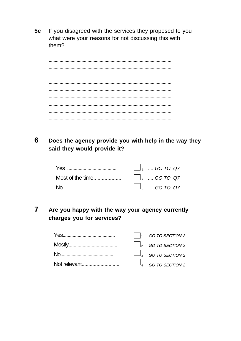$5e$ If you disagreed with the services they proposed to you what were your reasons for not discussing this with them?

6 Does the agency provide you with help in the way they said they would provide it?

| $\begin{array}{ccc} \begin{array}{ccc} \end{array}$ $\begin{array}{ccc} \end{array}$ $\begin{array}{ccc} \end{array}$ $\begin{array}{ccc} \end{array}$ $\begin{array}{ccc} \end{array}$ $\begin{array}{ccc} \end{array}$ $\begin{array}{ccc} \end{array}$ $\begin{array}{ccc} \end{array}$ $\begin{array}{ccc} \end{array}$ $\begin{array}{ccc} \end{array}$ $\begin{array}{ccc} \end{array}$ $\begin{array}{ccc} \end{array}$ $\begin{array}{ccc} \end{array}$ $\begin{array}{ccc} \end{array}$ $\begin{$ |
|------------------------------------------------------------------------------------------------------------------------------------------------------------------------------------------------------------------------------------------------------------------------------------------------------------------------------------------------------------------------------------------------------------------------------------------------------------------------------------------------------------|
|                                                                                                                                                                                                                                                                                                                                                                                                                                                                                                            |
| $\Box$ <sub>3</sub> GO TO Q7                                                                                                                                                                                                                                                                                                                                                                                                                                                                               |

 $\overline{7}$ Are you happy with the way your agency currently charges you for services?

|                                                       | $\Box$ <sub>1</sub> .GO TO SECTION 2 |
|-------------------------------------------------------|--------------------------------------|
|                                                       | $\Box$ <sub>2</sub> .GO TO SECTION 2 |
| $N_{\Omega}$ and $N_{\Omega}$ are the set of $\Omega$ | $\Box$ <sub>3</sub> .GO TO SECTION 2 |
| Not relevant                                          | $\Box$ <sub>4</sub> .GO TO SECTION 2 |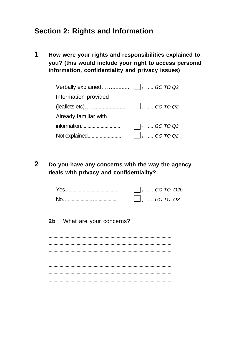### **Section 2: Rights and Information**

**1 How were your rights and responsibilities explained to you? (this would include your right to access personal information, confidentiality and privacy issues)**

| Information provided  |                              |
|-----------------------|------------------------------|
|                       |                              |
| Already familiar with |                              |
|                       | $\Box$ <sub>3</sub> GO TO Q2 |
|                       |                              |

**2 Do you have any concerns with the way the agency deals with privacy and confidentiality?**

|  | $\vert$ GO TO Q2b             |  |
|--|-------------------------------|--|
|  | $\perp$ <sub>2</sub> GO TO Q3 |  |

**2b** What are your concerns?

..................................................................................................... ..................................................................................................... ..................................................................................................... ..................................................................................................... ..................................................................................................... ..................................................................................................... .....................................................................................................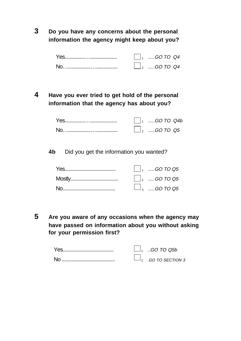**3 Do you have any concerns about the personal information the agency might keep about you?**

|    | $\vert \ \vert_1$ GO TO Q4   |
|----|------------------------------|
| Nο | $\Box$ <sub>2</sub> GO TO Q4 |

### **4 Have you ever tried to get hold of the personal information that the agency has about you?**

| $\vert$ GO TO Q4b            |
|------------------------------|
| $\Box$ <sub>2</sub> GO TO Q5 |

**4b** Did you get the information you wanted?

| $\begin{array}{ c c c }\n\hline\n&\hline\n&\hline\n1&GO\,TO\,QS\n\end{array}$ |
|-------------------------------------------------------------------------------|
| $\vert$ $\vert_2$ GO TO 05                                                    |
| $\Box$ <sub>3</sub> GO TO Q5                                                  |

**5 Are you aware of any occasions when the agency may have passed on information about you without asking for your permission first?**

|    | $\Box$ <sub>1</sub> GO TO Q5b |
|----|-------------------------------|
| Nc | GO TO SECTION 3               |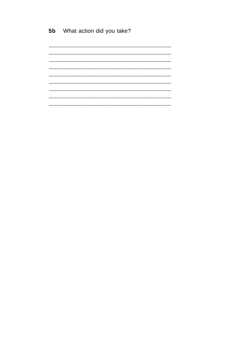What action did you take?  $5<sub>b</sub>$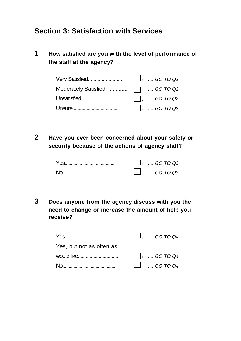### **Section 3: Satisfaction with Services**

**1 How satisfied are you with the level of performance of the staff at the agency?**

| Very Satisfied                                    | $\Box$ <sub>1</sub> GO TO Q2 |
|---------------------------------------------------|------------------------------|
| Moderately Satisfied $\Box$ <sub>2</sub> GO TO Q2 |                              |
|                                                   | $\Box$ <sub>3</sub> GO TO Q2 |
|                                                   |                              |

**2 Have you ever been concerned about your safety or security because of the actions of agency staff?**

| $1_1$ GO TO Q3    |
|-------------------|
| $\Box$ 2 GO TO Q3 |

**3 Does anyone from the agency discuss with you the need to change or increase the amount of help you receive?**

|                            | $\Box$ <sub>1</sub> GO TO Q4 |
|----------------------------|------------------------------|
| Yes, but not as often as I |                              |
| would like                 | $\vert \vert_2$ GO TO Q4     |
|                            | $\Box$ <sub>3</sub> GO TO Q4 |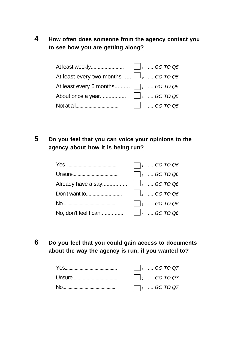### **4 How often does someone from the agency contact you to see how you are getting along?**

| At least every two months $\Box$ $\Box$ $_{2}$ $\Box$ .GO TO Q5 |                              |
|-----------------------------------------------------------------|------------------------------|
| At least every 6 months $\Box$ <sub>3</sub> GO TO Q5            |                              |
|                                                                 |                              |
|                                                                 | $\Box$ <sub>5</sub> GO TO Q5 |

### **5 Do you feel that you can voice your opinions to the agency about how it is being run?**

|                                                                                                                                                                                                                                                                                                                                                                    | $\Box$ <sub>1</sub> GO TO Q6 |
|--------------------------------------------------------------------------------------------------------------------------------------------------------------------------------------------------------------------------------------------------------------------------------------------------------------------------------------------------------------------|------------------------------|
|                                                                                                                                                                                                                                                                                                                                                                    | $\Box$ <sub>2</sub> GO TO Q6 |
|                                                                                                                                                                                                                                                                                                                                                                    |                              |
| Don't want to $\begin{array}{ccc}\n\vdots \\ \vdots \\ \vdots\n\end{array}$ On $\begin{array}{ccc}\n\vdots \\ \vdots\n\end{array}$ and $\begin{array}{ccc}\n\vdots \\ \vdots\n\end{array}$ and $\begin{array}{ccc}\n\vdots \\ \vdots\n\end{array}$ and $\begin{array}{ccc}\n\vdots \\ \vdots\n\end{array}$ and $\begin{array}{ccc}\n\vdots \\ \vdots\n\end{array}$ |                              |
|                                                                                                                                                                                                                                                                                                                                                                    | $\Box$ <sub>5</sub> GO TO Q6 |
|                                                                                                                                                                                                                                                                                                                                                                    |                              |

**6 Do you feel that you could gain access to documents about the way the agency is run, if you wanted to?**

| $\begin{vmatrix} 1 &  & 0 & 0 & 0 & 0 \\ 0 &  & 0 & 0 & 0 & 0 \\ 0 &  & 0 & 0 & 0 & 0 \\ 0 &  & 0 & 0 & 0 & 0 \\ 0 &  & 0 & 0 & 0 & 0 \\ 0 &  & 0 & 0 & 0 & 0 \\ 0 &  & 0 & 0 & 0 & 0 \\ 0 &  & 0 & 0 & 0 & 0 \\ 0 &  & 0 & 0 & 0 & 0 \\ 0 &  & 0 & 0 & 0 & 0 \\ 0 &  & 0 & 0 & 0 & 0 & 0 \\ 0 &  & 0 & 0 & 0 & 0 & 0 \\ 0 & $ |
|--------------------------------------------------------------------------------------------------------------------------------------------------------------------------------------------------------------------------------------------------------------------------------------------------------------------------------|
| $\vert \vert_2$ GO TO Q7                                                                                                                                                                                                                                                                                                       |
| $\Box$ <sub>3</sub> GO TO Q7                                                                                                                                                                                                                                                                                                   |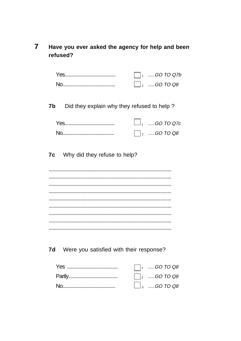#### $\overline{7}$ Have you ever asked the agency for help and been refused?

| $1, \ldots$ GO TO Q7b |
|-----------------------|
| $1_2$ GO TO Q8        |

Did they explain why they refused to help?  $7<sub>b</sub>$ 

| $\Box$ , …GO TO Q7c |
|---------------------|
| $\vert_2$ GO TO Q8  |

Why did they refuse to help? 7c

Were you satisfied with their response? 7d

| $\Box$ <sub>1</sub> GO TO Q8 |
|------------------------------|
| $\vert$ $\vert_2$ GO TO Q8   |
| $\Box$ <sub>3</sub> GO TO Q8 |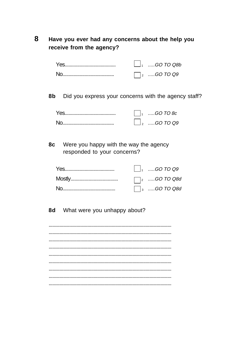#### 8 Have you ever had any concerns about the help you receive from the agency?

| $\vert_{1}$ GO TO Q8b |
|-----------------------|
| $\vert_2$ GO TO Q9    |

Did you express your concerns with the agency staff? 8b

| $\begin{bmatrix} 1 &  & 0 & 0 & 0 & 0 \end{bmatrix}$ |
|------------------------------------------------------|
| $\rfloor_2$ GO TO Q9                                 |

Were you happy with the way the agency **8c** responded to your concerns?

| $\begin{array}{ccc} \begin{array}{ccc} \end{array} & \begin{array}{ccc} \end{array} & \begin{array}{ccc} \end{array} & \begin{array}{ccc} \end{array} & \begin{array}{ccc} \end{array} & \begin{array}{ccc} \end{array} & \begin{array}{ccc} \end{array} & \begin{array}{ccc} \end{array} & \begin{array}{ccc} \end{array} & \begin{array}{ccc} \end{array} & \begin{array}{ccc} \end{array} & \begin{array}{ccc} \end{array} & \begin{array}{ccc} \end{array} & \begin{array}{ccc} \end{array} & \begin{array}{ccc} \end{array}$ |
|-----------------------------------------------------------------------------------------------------------------------------------------------------------------------------------------------------------------------------------------------------------------------------------------------------------------------------------------------------------------------------------------------------------------------------------------------------------------------------------------------------------------------------------|
|                                                                                                                                                                                                                                                                                                                                                                                                                                                                                                                                   |
| $\Box$ <sub>3</sub> GO TO Q8d                                                                                                                                                                                                                                                                                                                                                                                                                                                                                                     |

What were you unhappy about? 8d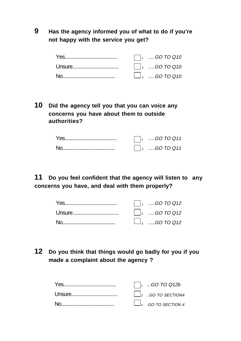**9 Has the agency informed you of what to do if you're not happy with the service you get?**

| $\Box$ GO TO Q10              |
|-------------------------------|
| $\Box$ <sub>2</sub> GO TO Q10 |
| $\Box$ <sub>3</sub> GO TO Q10 |

**10 Did the agency tell you that you can voice any concerns you have about them to outside authorities?**

| GO TO Q11    |
|--------------|
| $$ GO TO Q11 |

**11 Do you feel confident that the agency will listen to any concerns you have, and deal with them properly?**

|  | $\vert \vert_2$ GO TO Q12     |
|--|-------------------------------|
|  | $\Box$ <sub>3</sub> GO TO Q12 |

### **12 Do you think that things would go badly for you if you made a complaint about the agency ?**

|  | $\vert$ GO TO Q12b                                         |
|--|------------------------------------------------------------|
|  | $\begin{vmatrix} 2 & . & GQ & TO \ \end{vmatrix}$ 5ECTION4 |
|  | $\Box$ <sub>3</sub> .GO TO SECTION 4                       |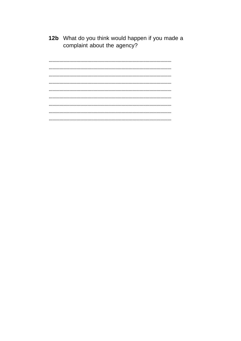12b What do you think would happen if you made a complaint about the agency?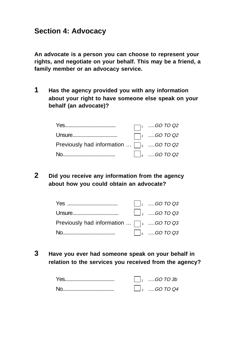### **Section 4: Advocacy**

**An advocate is a person you can choose to represent your rights, and negotiate on your behalf. This may be a friend, a family member or an advocacy service.**

**1 Has the agency provided you with any information about your right to have someone else speak on your behalf (an advocate)?**

|                                                                | $\Box$ <sup>1</sup> GO TO Q2                                                  |
|----------------------------------------------------------------|-------------------------------------------------------------------------------|
|                                                                | $\Box$ <sub>2</sub> GO TO Q2                                                  |
| Previously had information $\ldots \Box$ <sub>3</sub> GO TO Q2 |                                                                               |
|                                                                | $\begin{vmatrix} 1 & \dots & \text{GO} & \text{TO} & \text{Q2} \end{vmatrix}$ |

**2 Did you receive any information from the agency about how you could obtain an advocate?**

|                                                          | $\vert \ \vert_1$ GO TO Q3 |
|----------------------------------------------------------|----------------------------|
|                                                          | $\Box$ , GO TO Q3          |
| Previously had information $\ldots \square_{3}$ GO TO Q3 |                            |
|                                                          | $\Box$ 4 GO TO Q3          |

**3 Have you ever had someone speak on your behalf in relation to the services you received from the agency?**

| $1, \ldots$ GO TO 3b          |
|-------------------------------|
| $\perp$ <sub>2</sub> GO TO Q4 |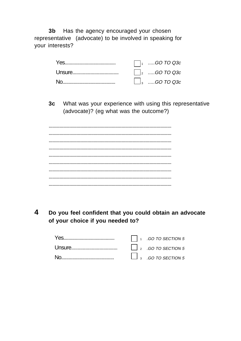Has the agency encouraged your chosen  $3<sub>b</sub>$ representative (advocate) to be involved in speaking for your interests?

| $\Box$ <sub>1</sub> GO TO Q3c |
|-------------------------------|
| $\Box$ <sub>2</sub> GO TO Q3c |
| $\Box$ <sub>3</sub> GO TO Q3c |

 $3c$ What was your experience with using this representative (advocate)? (eg what was the outcome?)

 $\overline{\mathbf{4}}$ Do you feel confident that you could obtain an advocate of your choice if you needed to?

|  | $\bigcap_{1}$ .GO TO SECTION 5                                                                             |
|--|------------------------------------------------------------------------------------------------------------|
|  | $\begin{array}{c} \begin{array}{ccc} \end{array} & 2 & .GO \ \textit{TO} & \textit{SECTION 5} \end{array}$ |
|  | $\Box$ 3 .GO TO SECTION 5                                                                                  |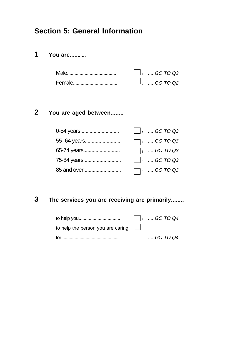### **Section 5: General Information**

### **1 You are...........**

| $\Box$ <sub>1</sub> GO TO Q2 |
|------------------------------|
| $\Box$ , GO TO Q2            |

### **2 You are aged between........**

| 0-54 years  | $\Box$ <sub>1</sub> GO TO Q3 |
|-------------|------------------------------|
| 55-64 years | $\Box$ <sub>2</sub> GO TO Q3 |
| 65-74 years | $\Box$ <sub>3</sub> GO TO Q3 |
| 75-84 years | $\Box$ 4 GO TO Q3            |
| 85 and over | $\Box$ <sub>5</sub> GO TO Q3 |

### **3 The services you are receiving are primarily........**

| to help you                                           | $\begin{array}{ c c }\n\hline\n&\hline\n1 & \dots . 60 \text{ TO } Q4\n\end{array}$ |
|-------------------------------------------------------|-------------------------------------------------------------------------------------|
| to help the person you are caring $\Box$ <sub>2</sub> |                                                                                     |
|                                                       | $$ GO TO Q4                                                                         |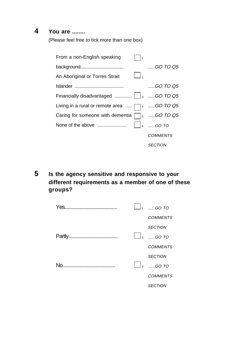### **4 You are ........**

(Please feel free to tick more than one box)

| From a non-English speaking<br>1                   |                              |
|----------------------------------------------------|------------------------------|
| background                                         | GO TO 05                     |
| ر ا<br>An Aboriginal or Torres Strait              |                              |
|                                                    | $$ GO TO 05                  |
|                                                    |                              |
| Living in a rural or remote area $\Box$ 4 GO TO Q5 |                              |
| Caring for someone with dementia                   | $\Box$ <sub>5</sub> GO TO Q5 |
| None of the above                                  | 6 GO TO                      |
|                                                    | <i>COMMENTS</i>              |
|                                                    | <i>SECTION</i>               |

**5 Is the agency sensitive and responsive to your different requirements as a member of one of these groups?**

| Yes.<br> |                      | GO TO           |
|----------|----------------------|-----------------|
|          |                      | <b>COMMENTS</b> |
|          |                      | <b>SECTION</b>  |
|          | $\vert$ <sub>2</sub> | $60$ TO         |
|          |                      | <b>COMMENTS</b> |
|          |                      | <b>SECTION</b>  |
| Nο       | $\frac{1}{3}$        | $GO$ TO         |
|          |                      | <b>COMMENTS</b> |
|          |                      | <b>SECTION</b>  |